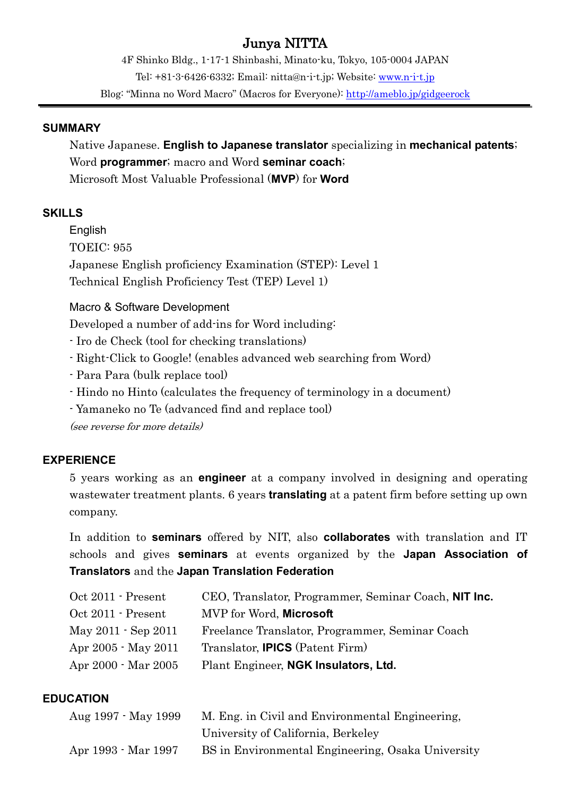# Junya NITTA

4F Shinko Bldg., 1-17-1 Shinbashi, Minato-ku, Tokyo, 105-0004 JAPAN Tel: +81-3-6426-6332; Email: nitta@n-i-t.jp; Website:<www.n-i-t.jp> Blog: "Minna no Word Macro" (Macros for Everyone): <http://ameblo.jp/gidgeerock>

#### **SUMMARY**

Native Japanese. **English to Japanese translator** specializing in **mechanical patents**; Word **programmer**; macro and Word **seminar coach**; Microsoft Most Valuable Professional (**MVP**) for **Word**

### **SKILLS**

English TOEIC: 955 Japanese English proficiency Examination (STEP): Level 1 Technical English Proficiency Test (TEP) Level 1)

### Macro & Software Development

Developed a number of add-ins for Word including:

- Iro de Check (tool for checking translations)
- Right-Click to Google! (enables advanced web searching from Word)
- Para Para (bulk replace tool)
- Hindo no Hinto (calculates the frequency of terminology in a document)
- Yamaneko no Te (advanced find and replace tool)

(see reverse for more details)

## **EXPERIENCE**

5 years working as an **engineer** at a company involved in designing and operating wastewater treatment plants. 6 years **translating** at a patent firm before setting up own company.

In addition to **seminars** offered by NIT, also **collaborates** with translation and IT schools and gives **seminars** at events organized by the **Japan Association of Translators** and the **Japan Translation Federation**

| Oct 2011 - Present  | CEO, Translator, Programmer, Seminar Coach, NIT Inc. |
|---------------------|------------------------------------------------------|
| Oct 2011 - Present  | MVP for Word, Microsoft                              |
| May 2011 - Sep 2011 | Freelance Translator, Programmer, Seminar Coach      |
| Apr 2005 - May 2011 | Translator, <b>IPICS</b> (Patent Firm)               |
| Apr 2000 - Mar 2005 | Plant Engineer, NGK Insulators, Ltd.                 |

### **EDUCATION**

| Aug 1997 - May 1999 | M. Eng. in Civil and Environmental Engineering.   |
|---------------------|---------------------------------------------------|
|                     | University of California, Berkeley                |
| Apr 1993 - Mar 1997 | BS in Environmental Engineering, Osaka University |